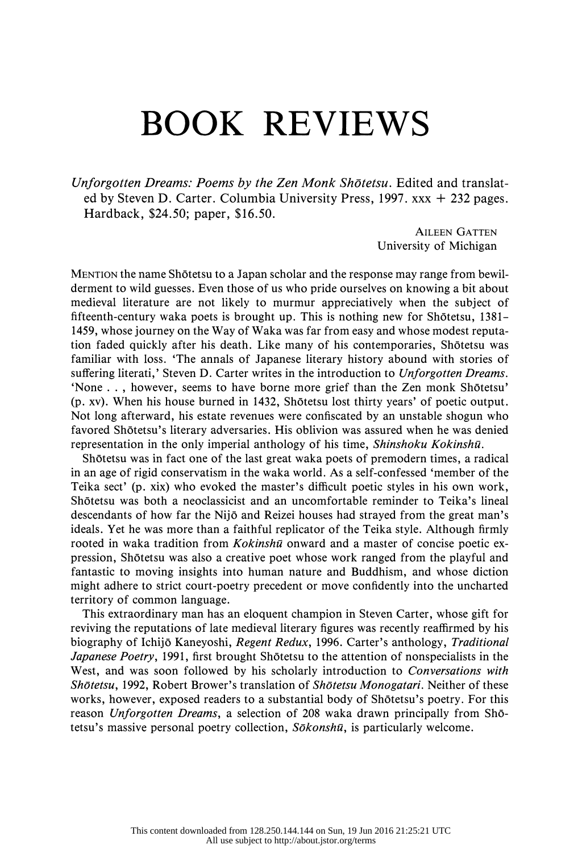## BOOK REVIEWS

Unforgotten Dreams: Poems by the Zen Monk Shōtetsu. Edited and translat ed by Steven D. Carter. Columbia University Press, 1997. xxx + 232 pages. Hardback, \$24.50; paper, \$16.50.

> AILEEN GATTEN University of Michigan

 MENTION the name Shotetsu to a Japan scholar and the response may range from bewil derment to wild guesses. Even those of us who pride ourselves on knowing a bit about medieval literature are not likely to murmur appreciatively when the subject of fifteenth-century waka poets is brought up. This is nothing new for Shotetsu, 1381– 1459, whose journey on the Way of Waka was far from easy and whose modest reputa tion faded quickly after his death. Like many of his contemporaries, Shotetsu was familiar with loss. 'The annals of Japanese literary history abound with stories of suffering literati,' Steven D. Carter writes in the introduction to Unforgotten Dreams. 'None . . , however, seems to have borne more grief than the Zen monk Shotetsu' (p. xv). When his house burned in 1432, Shotetsu lost thirty years' of poetic output. Not long afterward, his estate revenues were confiscated by an unstable shogun who favored Shotetsu's literary adversaries. His oblivion was assured when he was denied representation in the only imperial anthology of his time, Shinshoku Kokinshū.

 Shotetsu was in fact one of the last great waka poets of premodern times, a radical in an age of rigid conservatism in the waka world. As a self-confessed 'member of the Teika sect' (p. xix) who evoked the master's difficult poetic styles in his own work, Shotetsu was both a neoclassicist and an uncomfortable reminder to Teika's lineal descendants of how far the Nijo and Reizei houses had strayed from the great man's ideals. Yet he was more than a faithful replicator of the Teika style. Although firmly rooted in waka tradition from  $Kokinsh\bar{u}$  onward and a master of concise poetic ex pression, Shotetsu was also a creative poet whose work ranged from the playful and fantastic to moving insights into human nature and Buddhism, and whose diction might adhere to strict court-poetry precedent or move confidently into the uncharted territory of common language.

 This extraordinary man has an eloquent champion in Steven Carter, whose gift for reviving the reputations of late medieval literary figures was recently reaffirmed by his biography of Ichijō Kaneyoshi, Regent Redux, 1996. Carter's anthology, Traditional Japanese Poetry, 1991, first brought Shōtetsu to the attention of nonspecialists in the West, and was soon followed by his scholarly introduction to Conversations with Shōtetsu, 1992, Robert Brower's translation of Shōtetsu Monogatari. Neither of these works, however, exposed readers to a substantial body of Shōtetsu's poetry. For this reason Unforgotten Dreams, a selection of 208 waka drawn principally from Shōtetsu's massive personal poetry collection,  $S\bar{o}konsh\bar{u}$ , is particularly welcome.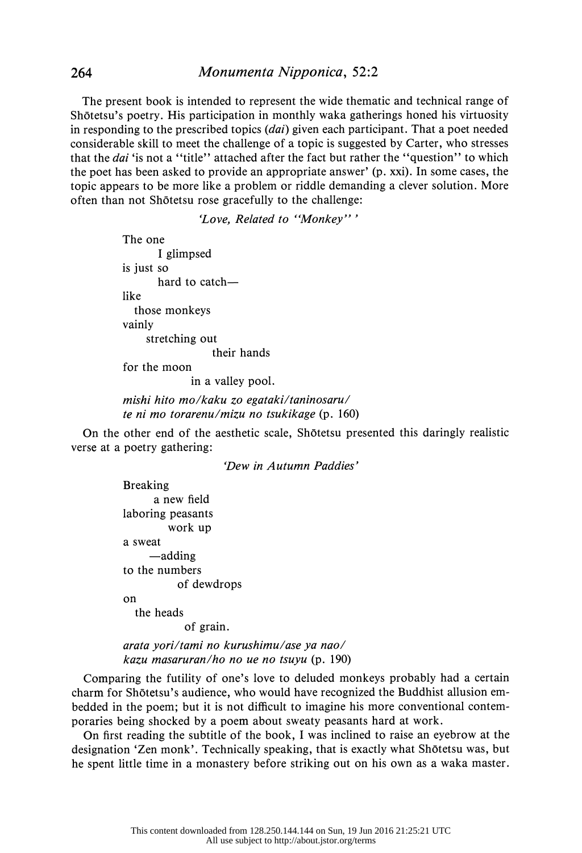The present book is intended to represent the wide thematic and technical range of Shotetsu's poetry. His participation in monthly waka gatherings honed his virtuosity in responding to the prescribed topics  $(dai)$  given each participant. That a poet needed considerable skill to meet the challenge of a topic is suggested by Carter, who stresses that the *dai* 'is not a "title" attached after the fact but rather the "question" to which the poet has been asked to provide an appropriate answer' (p. xxi). In some cases, the topic appears to be more like a problem or riddle demanding a clever solution. More often than not Shotetsu rose gracefully to the challenge:

'Love, Related to "Monkey"'

 The one I glimpsed is just so hard to catch like those monkeys vainly stretching out their hands

for the moon

in a valley pool.

 mishi hito mo/kaku zo egataki/taninosaru/ te ni mo torarenu/mizu no tsukikage (p. 160)

 On the other end of the aesthetic scale, Shotetsu presented this daringly realistic verse at a poetry gathering:

'Dew in Autumn Paddies'

 Breaking a new field laboring peasants work up a sweat -adding to the numbers of dewdrops on the heads

of grain.

 arata yori/tami no kurushimu/ase ya nao/ kazu masaruran/ho no ue no tsuyu (p. 190)

 Comparing the futility of one's love to deluded monkeys probably had a certain charm for Shotetsu's audience, who would have recognized the Buddhist allusion em bedded in the poem; but it is not difficult to imagine his more conventional contem poraries being shocked by a poem about sweaty peasants hard at work.

 On first reading the subtitle of the book, I was inclined to raise an eyebrow at the designation 'Zen monk'. Technically speaking, that is exactly what Shotetsu was, but he spent little time in a monastery before striking out on his own as a waka master.